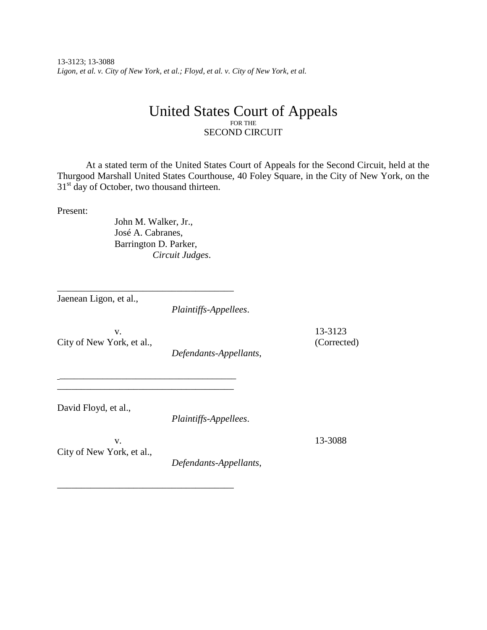13-3123; 13-3088 *Ligon, et al. v. City of New York, et al.; Floyd, et al. v. City of New York, et al.*

## United States Court of Appeals FOR THE SECOND CIRCUIT

At a stated term of the United States Court of Appeals for the Second Circuit, held at the Thurgood Marshall United States Courthouse, 40 Foley Square, in the City of New York, on the 31<sup>st</sup> day of October, two thousand thirteen.

Present:

John M. Walker, Jr., José A. Cabranes, Barrington D. Parker, *Circuit Judges*.

\_\_\_\_\_\_\_\_\_\_\_\_\_\_\_\_\_\_\_\_\_\_\_\_\_\_\_\_\_\_\_\_\_\_\_\_\_

\_\_\_\_\_\_\_\_\_\_\_\_\_\_\_\_\_\_\_\_\_\_\_\_\_\_\_\_\_\_\_\_\_\_\_\_\_ \_\_\_\_\_\_\_\_\_\_\_\_\_\_\_\_\_\_\_\_\_\_\_\_\_\_\_\_\_\_\_\_\_\_\_\_\_

\_\_\_\_\_\_\_\_\_\_\_\_\_\_\_\_\_\_\_\_\_\_\_\_\_\_\_\_\_\_\_\_\_\_\_\_\_

Jaenean Ligon, et al.,

*Plaintiffs-Appellees*.

City of New York, et al., (Corrected)

v. 13-3123

*Defendants-Appellants*,

David Floyd, et al.,

*Plaintiffs-Appellees*.

v. 13-3088 City of New York, et al.,

*Defendants-Appellants*,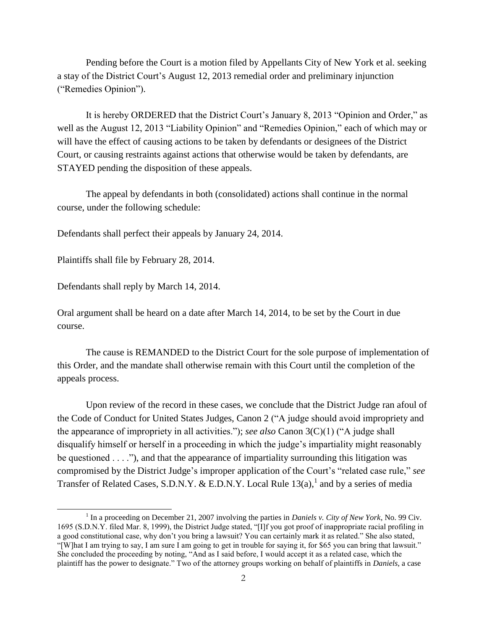Pending before the Court is a motion filed by Appellants City of New York et al. seeking a stay of the District Court's August 12, 2013 remedial order and preliminary injunction ("Remedies Opinion").

It is hereby ORDERED that the District Court's January 8, 2013 "Opinion and Order," as well as the August 12, 2013 "Liability Opinion" and "Remedies Opinion," each of which may or will have the effect of causing actions to be taken by defendants or designees of the District Court, or causing restraints against actions that otherwise would be taken by defendants, are STAYED pending the disposition of these appeals.

The appeal by defendants in both (consolidated) actions shall continue in the normal course, under the following schedule:

Defendants shall perfect their appeals by January 24, 2014.

Plaintiffs shall file by February 28, 2014.

Defendants shall reply by March 14, 2014.

 $\overline{a}$ 

Oral argument shall be heard on a date after March 14, 2014, to be set by the Court in due course.

The cause is REMANDED to the District Court for the sole purpose of implementation of this Order, and the mandate shall otherwise remain with this Court until the completion of the appeals process.

Upon review of the record in these cases, we conclude that the District Judge ran afoul of the Code of Conduct for United States Judges, Canon 2 ("A judge should avoid impropriety and the appearance of impropriety in all activities."); *see also* Canon 3(C)(1) ("A judge shall disqualify himself or herself in a proceeding in which the judge's impartiality might reasonably be questioned . . . ."), and that the appearance of impartiality surrounding this litigation was compromised by the District Judge's improper application of the Court's "related case rule," *see* Transfer of Related Cases, S.D.N.Y. & E.D.N.Y. Local Rule  $13(a)$ , and by a series of media

<sup>&</sup>lt;sup>1</sup> In a proceeding on December 21, 2007 involving the parties in *Daniels v. City of New York*, No. 99 Civ. 1695 (S.D.N.Y. filed Mar. 8, 1999), the District Judge stated, "[I]f you got proof of inappropriate racial profiling in a good constitutional case, why don't you bring a lawsuit? You can certainly mark it as related." She also stated, "[W]hat I am trying to say, I am sure I am going to get in trouble for saying it, for \$65 you can bring that lawsuit." She concluded the proceeding by noting, "And as I said before, I would accept it as a related case, which the plaintiff has the power to designate." Two of the attorney groups working on behalf of plaintiffs in *Daniels*, a case